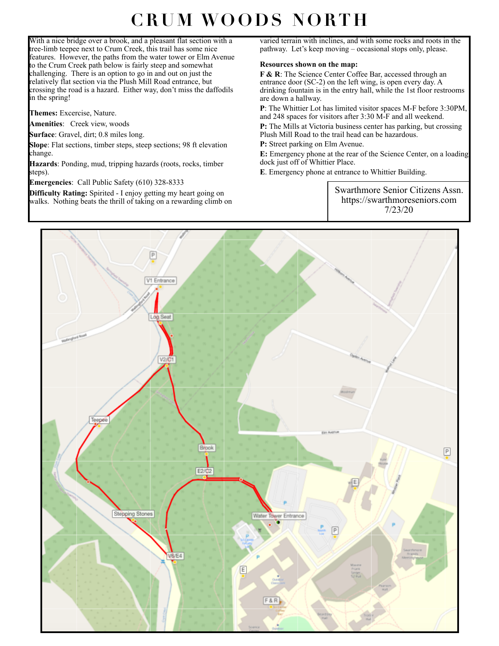## **CRUM WOODS NORTH**

With a nice bridge over a brook, and a pleasant flat section with a tree-limb teepee next to Crum Creek, this trail has some nice features. However, the paths from the water tower or Elm Avenue to the Crum Creek path below is fairly steep and somewhat challenging. There is an option to go in and out on just the relatively flat section via the Plush Mill Road entrance, but crossing the road is a hazard. Either way, don't miss the daffodils in the spring!

**Themes:** Excercise, Nature.

**Amenities**: Creek view, woods

**Surface**: Gravel, dirt; 0.8 miles long.

**Slope**: Flat sections, timber steps, steep sections; 98 ft elevation change.

**Hazards**: Ponding, mud, tripping hazards (roots, rocks, timber steps).

**Emergencies**: Call Public Safety (610) 328-8333

**Difficulty Rating:** Spirited - I enjoy getting my heart going on walks. Nothing beats the thrill of taking on a rewarding climb on varied terrain with inclines, and with some rocks and roots in the pathway. Let's keep moving – occasional stops only, please.

## **Resources shown on the map:**

**F & R**: The Science Center Coffee Bar, accessed through an entrance door (SC-2) on the left wing, is open every day. A drinking fountain is in the entry hall, while the 1st floor restrooms are down a hallway.

**P**: The Whittier Lot has limited visitor spaces M-F before 3:30PM, and 248 spaces for visitors after 3:30 M-F and all weekend.

**P:** The Mills at Victoria business center has parking, but crossing Plush Mill Road to the trail head can be hazardous.

**P:** Street parking on Elm Avenue.

**E:** Emergency phone at the rear of the Science Center, on a loading dock just off of Whittier Place.

**E**. Emergency phone at entrance to Whittier Building.

Swarthmore Senior Citizens Assn. https://swarthmoreseniors.com 7/23/20